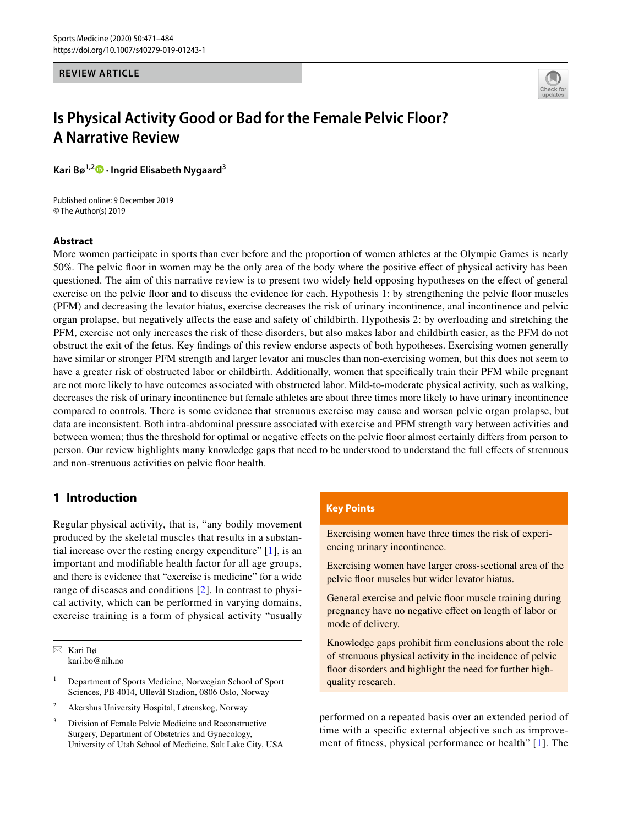**REVIEW ARTICLE**



# **Is Physical Activity Good or Bad for the Female Pelvic Floor? A Narrative Review**

**Kari Bø1,2  [·](http://orcid.org/0000-0003-1176-9272) Ingrid Elisabeth Nygaard<sup>3</sup>**

Published online: 9 December 2019 © The Author(s) 2019

### **Abstract**

More women participate in sports than ever before and the proportion of women athletes at the Olympic Games is nearly 50%. The pelvic foor in women may be the only area of the body where the positive efect of physical activity has been questioned. The aim of this narrative review is to present two widely held opposing hypotheses on the efect of general exercise on the pelvic foor and to discuss the evidence for each. Hypothesis 1: by strengthening the pelvic foor muscles (PFM) and decreasing the levator hiatus, exercise decreases the risk of urinary incontinence, anal incontinence and pelvic organ prolapse, but negatively afects the ease and safety of childbirth. Hypothesis 2: by overloading and stretching the PFM, exercise not only increases the risk of these disorders, but also makes labor and childbirth easier, as the PFM do not obstruct the exit of the fetus. Key fndings of this review endorse aspects of both hypotheses. Exercising women generally have similar or stronger PFM strength and larger levator ani muscles than non-exercising women, but this does not seem to have a greater risk of obstructed labor or childbirth. Additionally, women that specifcally train their PFM while pregnant are not more likely to have outcomes associated with obstructed labor. Mild-to-moderate physical activity, such as walking, decreases the risk of urinary incontinence but female athletes are about three times more likely to have urinary incontinence compared to controls. There is some evidence that strenuous exercise may cause and worsen pelvic organ prolapse, but data are inconsistent. Both intra-abdominal pressure associated with exercise and PFM strength vary between activities and between women; thus the threshold for optimal or negative efects on the pelvic foor almost certainly difers from person to person. Our review highlights many knowledge gaps that need to be understood to understand the full efects of strenuous and non-strenuous activities on pelvic foor health.

# **1 Introduction**

Regular physical activity, that is, "any bodily movement produced by the skeletal muscles that results in a substantial increase over the resting energy expenditure" [[1\]](#page-10-0), is an important and modifable health factor for all age groups, and there is evidence that "exercise is medicine" for a wide range of diseases and conditions [[2](#page-10-1)]. In contrast to physical activity, which can be performed in varying domains, exercise training is a form of physical activity "usually

 $\boxtimes$  Kari Bø kari.bo@nih.no

- <sup>1</sup> Department of Sports Medicine, Norwegian School of Sport Sciences, PB 4014, Ullevål Stadion, 0806 Oslo, Norway
- <sup>2</sup> Akershus University Hospital, Lørenskog, Norway
- <sup>3</sup> Division of Female Pelvic Medicine and Reconstructive Surgery, Department of Obstetrics and Gynecology, University of Utah School of Medicine, Salt Lake City, USA

### **Key Points**

Exercising women have three times the risk of experiencing urinary incontinence.

Exercising women have larger cross-sectional area of the pelvic foor muscles but wider levator hiatus.

General exercise and pelvic foor muscle training during pregnancy have no negative efect on length of labor or mode of delivery.

Knowledge gaps prohibit frm conclusions about the role of strenuous physical activity in the incidence of pelvic floor disorders and highlight the need for further highquality research.

performed on a repeated basis over an extended period of time with a specifc external objective such as improvement of ftness, physical performance or health" [[1](#page-10-0)]. The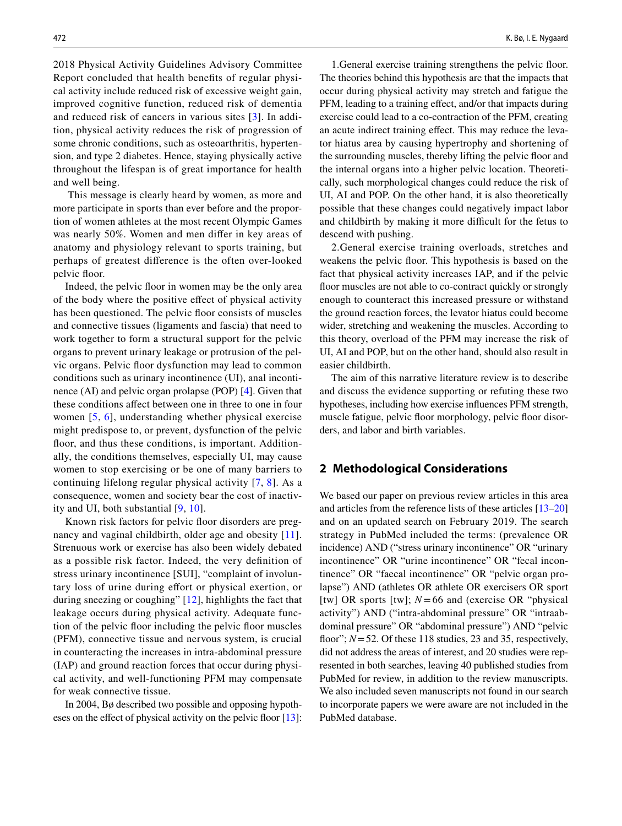2018 Physical Activity Guidelines Advisory Committee Report concluded that health benefts of regular physical activity include reduced risk of excessive weight gain, improved cognitive function, reduced risk of dementia and reduced risk of cancers in various sites [\[3\]](#page-10-2). In addition, physical activity reduces the risk of progression of some chronic conditions, such as osteoarthritis, hypertension, and type 2 diabetes. Hence, staying physically active throughout the lifespan is of great importance for health and well being.

 This message is clearly heard by women, as more and more participate in sports than ever before and the proportion of women athletes at the most recent Olympic Games was nearly 50%. Women and men difer in key areas of anatomy and physiology relevant to sports training, but perhaps of greatest diference is the often over-looked pelvic floor.

Indeed, the pelvic foor in women may be the only area of the body where the positive efect of physical activity has been questioned. The pelvic floor consists of muscles and connective tissues (ligaments and fascia) that need to work together to form a structural support for the pelvic organs to prevent urinary leakage or protrusion of the pelvic organs. Pelvic foor dysfunction may lead to common conditions such as urinary incontinence (UI), anal incontinence (AI) and pelvic organ prolapse (POP) [[4\]](#page-10-3). Given that these conditions afect between one in three to one in four women [[5,](#page-10-4) [6](#page-10-5)], understanding whether physical exercise might predispose to, or prevent, dysfunction of the pelvic floor, and thus these conditions, is important. Additionally, the conditions themselves, especially UI, may cause women to stop exercising or be one of many barriers to continuing lifelong regular physical activity [[7,](#page-10-6) [8\]](#page-10-7). As a consequence, women and society bear the cost of inactivity and UI, both substantial [[9,](#page-10-8) [10](#page-10-9)].

Known risk factors for pelvic floor disorders are pregnancy and vaginal childbirth, older age and obesity [[11](#page-10-10)]. Strenuous work or exercise has also been widely debated as a possible risk factor. Indeed, the very defnition of stress urinary incontinence [SUI], "complaint of involuntary loss of urine during efort or physical exertion, or during sneezing or coughing" [[12\]](#page-10-11), highlights the fact that leakage occurs during physical activity. Adequate function of the pelvic foor including the pelvic foor muscles (PFM), connective tissue and nervous system, is crucial in counteracting the increases in intra-abdominal pressure (IAP) and ground reaction forces that occur during physical activity, and well-functioning PFM may compensate for weak connective tissue.

In 2004, Bø described two possible and opposing hypoth-eses on the effect of physical activity on the pelvic floor [\[13](#page-10-12)]:

1.General exercise training strengthens the pelvic foor. The theories behind this hypothesis are that the impacts that occur during physical activity may stretch and fatigue the PFM, leading to a training effect, and/or that impacts during exercise could lead to a co-contraction of the PFM, creating an acute indirect training efect. This may reduce the levator hiatus area by causing hypertrophy and shortening of the surrounding muscles, thereby lifting the pelvic foor and the internal organs into a higher pelvic location. Theoretically, such morphological changes could reduce the risk of UI, AI and POP. On the other hand, it is also theoretically possible that these changes could negatively impact labor and childbirth by making it more difficult for the fetus to descend with pushing.

2.General exercise training overloads, stretches and weakens the pelvic foor. This hypothesis is based on the fact that physical activity increases IAP, and if the pelvic foor muscles are not able to co-contract quickly or strongly enough to counteract this increased pressure or withstand the ground reaction forces, the levator hiatus could become wider, stretching and weakening the muscles. According to this theory, overload of the PFM may increase the risk of UI, AI and POP, but on the other hand, should also result in easier childbirth.

The aim of this narrative literature review is to describe and discuss the evidence supporting or refuting these two hypotheses, including how exercise infuences PFM strength, muscle fatigue, pelvic foor morphology, pelvic foor disorders, and labor and birth variables.

## **2 Methodological Considerations**

We based our paper on previous review articles in this area and articles from the reference lists of these articles [[13–](#page-10-12)[20\]](#page-10-13) and on an updated search on February 2019. The search strategy in PubMed included the terms: (prevalence OR incidence) AND ("stress urinary incontinence" OR "urinary incontinence" OR "urine incontinence" OR "fecal incontinence" OR "faecal incontinence" OR "pelvic organ prolapse") AND (athletes OR athlete OR exercisers OR sport [tw] OR sports [tw];  $N=66$  and (exercise OR "physical activity") AND ("intra-abdominal pressure" OR "intraabdominal pressure" OR "abdominal pressure") AND "pelvic floor";  $N = 52$ . Of these 118 studies, 23 and 35, respectively, did not address the areas of interest, and 20 studies were represented in both searches, leaving 40 published studies from PubMed for review, in addition to the review manuscripts. We also included seven manuscripts not found in our search to incorporate papers we were aware are not included in the PubMed database.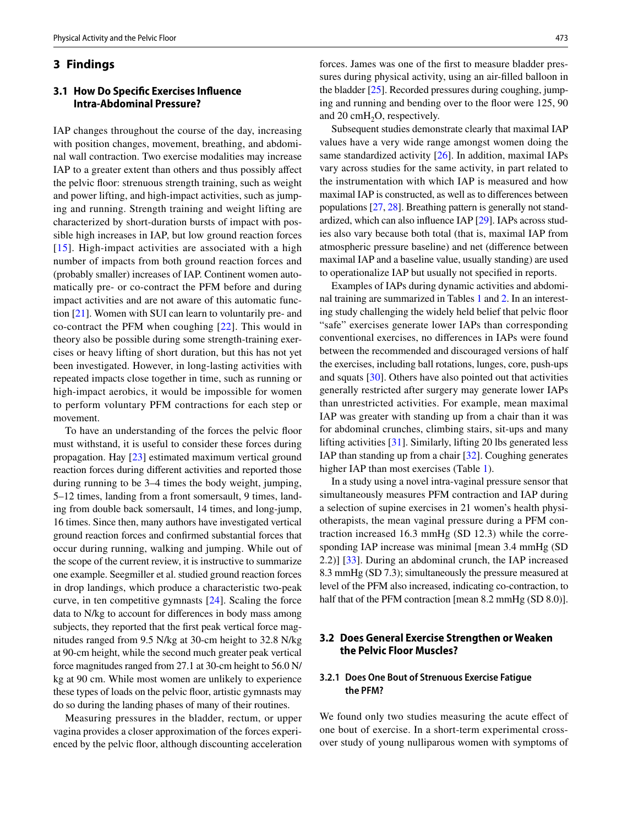### **3 Findings**

# **3.1 How Do Specifc Exercises Infuence Intra‑Abdominal Pressure?**

IAP changes throughout the course of the day, increasing with position changes, movement, breathing, and abdominal wall contraction. Two exercise modalities may increase IAP to a greater extent than others and thus possibly afect the pelvic foor: strenuous strength training, such as weight and power lifting, and high-impact activities, such as jumping and running. Strength training and weight lifting are characterized by short-duration bursts of impact with possible high increases in IAP, but low ground reaction forces [[15](#page-10-14)]. High-impact activities are associated with a high number of impacts from both ground reaction forces and (probably smaller) increases of IAP. Continent women automatically pre- or co-contract the PFM before and during impact activities and are not aware of this automatic function [\[21](#page-10-15)]. Women with SUI can learn to voluntarily pre- and co-contract the PFM when coughing [\[22\]](#page-10-16). This would in theory also be possible during some strength-training exercises or heavy lifting of short duration, but this has not yet been investigated. However, in long-lasting activities with repeated impacts close together in time, such as running or high-impact aerobics, it would be impossible for women to perform voluntary PFM contractions for each step or movement.

To have an understanding of the forces the pelvic foor must withstand, it is useful to consider these forces during propagation. Hay [[23\]](#page-10-17) estimated maximum vertical ground reaction forces during diferent activities and reported those during running to be 3–4 times the body weight, jumping, 5–12 times, landing from a front somersault, 9 times, landing from double back somersault, 14 times, and long-jump, 16 times. Since then, many authors have investigated vertical ground reaction forces and confrmed substantial forces that occur during running, walking and jumping. While out of the scope of the current review, it is instructive to summarize one example. Seegmiller et al. studied ground reaction forces in drop landings, which produce a characteristic two-peak curve, in ten competitive gymnasts [[24\]](#page-10-18). Scaling the force data to N/kg to account for diferences in body mass among subjects, they reported that the frst peak vertical force magnitudes ranged from 9.5 N/kg at 30-cm height to 32.8 N/kg at 90-cm height, while the second much greater peak vertical force magnitudes ranged from 27.1 at 30-cm height to 56.0 N/ kg at 90 cm. While most women are unlikely to experience these types of loads on the pelvic foor, artistic gymnasts may do so during the landing phases of many of their routines.

Measuring pressures in the bladder, rectum, or upper vagina provides a closer approximation of the forces experienced by the pelvic foor, although discounting acceleration

forces. James was one of the frst to measure bladder pressures during physical activity, using an air-flled balloon in the bladder [\[25](#page-10-19)]. Recorded pressures during coughing, jumping and running and bending over to the floor were 125, 90 and 20 cmH<sub>2</sub>O, respectively.

Subsequent studies demonstrate clearly that maximal IAP values have a very wide range amongst women doing the same standardized activity [[26\]](#page-10-20). In addition, maximal IAPs vary across studies for the same activity, in part related to the instrumentation with which IAP is measured and how maximal IAP is constructed, as well as to diferences between populations [\[27,](#page-10-21) [28](#page-10-22)]. Breathing pattern is generally not standardized, which can also infuence IAP [[29](#page-11-0)]. IAPs across studies also vary because both total (that is, maximal IAP from atmospheric pressure baseline) and net (diference between maximal IAP and a baseline value, usually standing) are used to operationalize IAP but usually not specifed in reports.

Examples of IAPs during dynamic activities and abdominal training are summarized in Tables [1](#page-3-0) and [2](#page-4-0). In an interesting study challenging the widely held belief that pelvic foor "safe" exercises generate lower IAPs than corresponding conventional exercises, no diferences in IAPs were found between the recommended and discouraged versions of half the exercises, including ball rotations, lunges, core, push-ups and squats [\[30](#page-11-1)]. Others have also pointed out that activities generally restricted after surgery may generate lower IAPs than unrestricted activities. For example, mean maximal IAP was greater with standing up from a chair than it was for abdominal crunches, climbing stairs, sit-ups and many lifting activities [\[31](#page-11-2)]. Similarly, lifting 20 lbs generated less IAP than standing up from a chair [[32\]](#page-11-3). Coughing generates higher IAP than most exercises (Table [1\)](#page-3-0).

In a study using a novel intra-vaginal pressure sensor that simultaneously measures PFM contraction and IAP during a selection of supine exercises in 21 women's health physiotherapists, the mean vaginal pressure during a PFM contraction increased 16.3 mmHg (SD 12.3) while the corresponding IAP increase was minimal [mean 3.4 mmHg (SD 2.2)] [[33\]](#page-11-4). During an abdominal crunch, the IAP increased 8.3 mmHg (SD 7.3); simultaneously the pressure measured at level of the PFM also increased, indicating co-contraction, to half that of the PFM contraction [mean 8.2 mmHg (SD 8.0)].

### **3.2 Does General Exercise Strengthen or Weaken the Pelvic Floor Muscles?**

### **3.2.1 Does One Bout of Strenuous Exercise Fatigue the PFM?**

We found only two studies measuring the acute efect of one bout of exercise. In a short-term experimental crossover study of young nulliparous women with symptoms of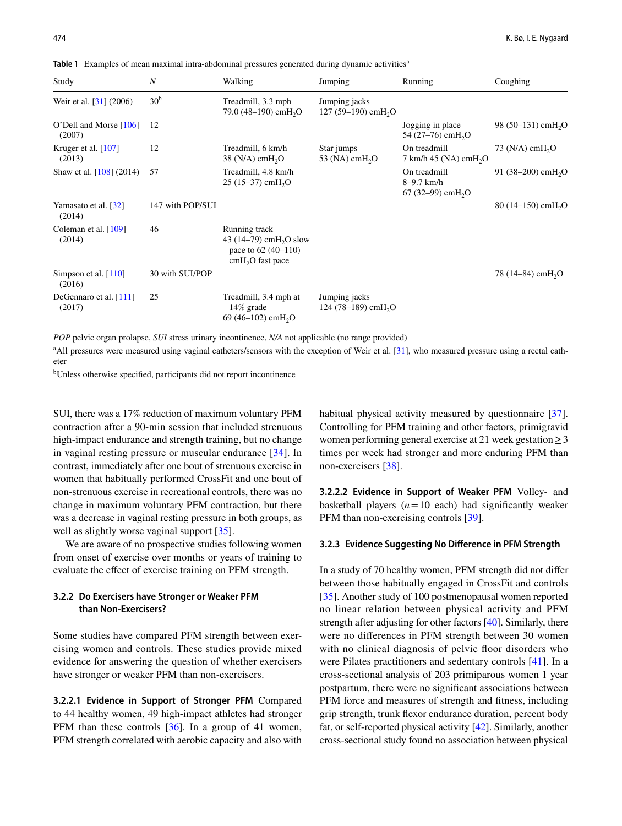| Study                              | $\boldsymbol{N}$ | Walking                                                                                            | Jumping                                          | Running                                                       | Coughing                       |
|------------------------------------|------------------|----------------------------------------------------------------------------------------------------|--------------------------------------------------|---------------------------------------------------------------|--------------------------------|
| Weir et al. $[31]$ (2006)          | 30 <sup>b</sup>  | Treadmill, 3.3 mph<br>79.0 (48–190) cmH <sub>2</sub> O                                             | Jumping jacks<br>127 (59–190) cmH <sub>2</sub> O |                                                               |                                |
| O'Dell and Morse $[106]$<br>(2007) | 12               |                                                                                                    |                                                  | Jogging in place<br>54 $(27-76)$ cmH <sub>2</sub> O           | 98 (50–131) cmH <sub>2</sub> O |
| Kruger et al. $[107]$<br>(2013)    | 12               | Treadmill, 6 km/h<br>38 (N/A) cmH <sub>2</sub> O                                                   | Star jumps<br>53 (NA) cm $H2O$                   | On treadmill<br>$7 \text{ km/h}$ 45 (NA) cmH <sub>2</sub> O   | $73$ (N/A) cmH <sub>2</sub> O  |
| Shaw et al. $[108]$ (2014)         | 57               | Treadmill, 4.8 km/h<br>$25(15-37)$ cmH <sub>2</sub> O                                              |                                                  | On treadmill<br>$8-9.7$ km/h<br>67 (32–99) cmH <sub>2</sub> O | 91 (38-200) cmH <sub>2</sub> O |
| Yamasato et al. [32]<br>(2014)     | 147 with POP/SUI |                                                                                                    |                                                  |                                                               | 80 (14-150) cmH <sub>2</sub> O |
| Coleman et al. $[109]$<br>(2014)   | 46               | Running track<br>43 $(14-79)$ cmH <sub>2</sub> O slow<br>pace to $62(40-110)$<br>$cmH2O$ fast pace |                                                  |                                                               |                                |
| Simpson et al. $[110]$<br>(2016)   | 30 with SUI/POP  |                                                                                                    |                                                  |                                                               | 78 (14–84) cmH <sub>2</sub> O  |
| DeGennaro et al. [111]<br>(2017)   | 25               | Treadmill, 3.4 mph at<br>$14\%$ grade<br>$69(46-102)$ cmH <sub>2</sub> O                           | Jumping jacks<br>124 (78–189) cmH <sub>2</sub> O |                                                               |                                |

<span id="page-3-0"></span>**Table 1** Examples of mean maximal intra-abdominal pressures generated during dynamic activities<sup>a</sup>

*POP* pelvic organ prolapse, *SUI* stress urinary incontinence, *N/A* not applicable (no range provided)

<sup>a</sup>All pressures were measured using vaginal catheters/sensors with the exception of Weir et al. [[31](#page-11-2)], who measured pressure using a rectal catheter

b Unless otherwise specifed, participants did not report incontinence

SUI, there was a 17% reduction of maximum voluntary PFM contraction after a 90-min session that included strenuous high-impact endurance and strength training, but no change in vaginal resting pressure or muscular endurance [[34\]](#page-11-5). In contrast, immediately after one bout of strenuous exercise in women that habitually performed CrossFit and one bout of non-strenuous exercise in recreational controls, there was no change in maximum voluntary PFM contraction, but there was a decrease in vaginal resting pressure in both groups, as well as slightly worse vaginal support [[35\]](#page-11-6).

We are aware of no prospective studies following women from onset of exercise over months or years of training to evaluate the efect of exercise training on PFM strength.

## **3.2.2 Do Exercisers have Stronger or Weaker PFM than Non‑Exercisers?**

Some studies have compared PFM strength between exercising women and controls. These studies provide mixed evidence for answering the question of whether exercisers have stronger or weaker PFM than non-exercisers.

**3.2.2.1 Evidence in Support of Stronger PFM** Compared to 44 healthy women, 49 high-impact athletes had stronger PFM than these controls [[36\]](#page-11-7). In a group of 41 women, PFM strength correlated with aerobic capacity and also with

habitual physical activity measured by questionnaire [\[37](#page-11-8)]. Controlling for PFM training and other factors, primigravid women performing general exercise at 21 week gestation  $\geq$  3 times per week had stronger and more enduring PFM than non-exercisers [[38\]](#page-11-9).

**3.2.2.2 Evidence in Support of Weaker PFM** Volley- and basketball players  $(n=10 \text{ each})$  had significantly weaker PFM than non-exercising controls [[39\]](#page-11-10).

#### **3.2.3 Evidence Suggesting No Diference in PFM Strength**

In a study of 70 healthy women, PFM strength did not difer between those habitually engaged in CrossFit and controls [\[35](#page-11-6)]. Another study of 100 postmenopausal women reported no linear relation between physical activity and PFM strength after adjusting for other factors [\[40](#page-11-11)]. Similarly, there were no diferences in PFM strength between 30 women with no clinical diagnosis of pelvic floor disorders who were Pilates practitioners and sedentary controls [[41\]](#page-11-12). In a cross-sectional analysis of 203 primiparous women 1 year postpartum, there were no signifcant associations between PFM force and measures of strength and fitness, including grip strength, trunk fexor endurance duration, percent body fat, or self-reported physical activity [\[42](#page-11-13)]. Similarly, another cross-sectional study found no association between physical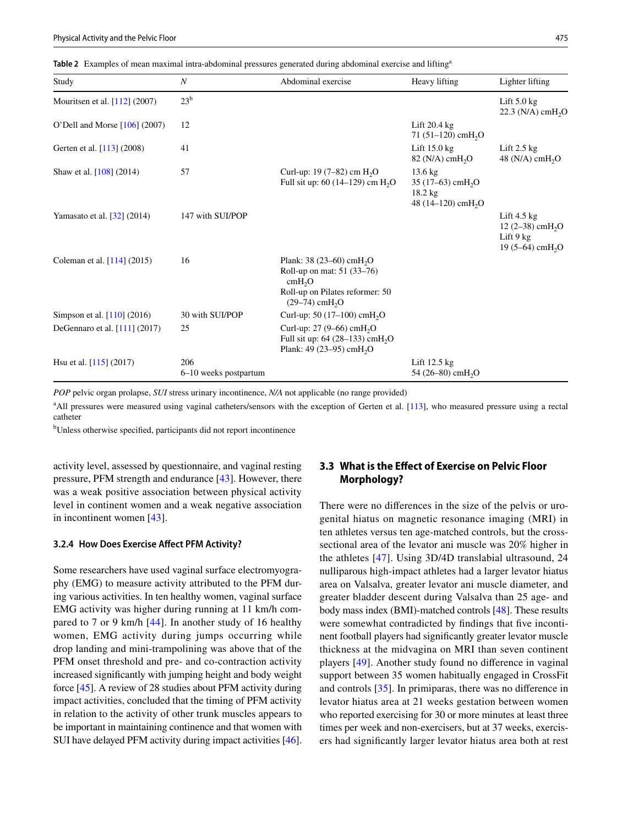<span id="page-4-0"></span>**Table 2** Examples of mean maximal intra-abdominal pressures generated during abdominal exercise and lifting<sup>a</sup>

| Study                           | $\boldsymbol{N}$             | Abdominal exercise                                                                                                                                           | Heavy lifting                                                                                               | Lighter lifting                                                                                        |
|---------------------------------|------------------------------|--------------------------------------------------------------------------------------------------------------------------------------------------------------|-------------------------------------------------------------------------------------------------------------|--------------------------------------------------------------------------------------------------------|
| Mouritsen et al. [112] (2007)   | 23 <sup>b</sup>              |                                                                                                                                                              |                                                                                                             | Lift $5.0 \text{ kg}$<br>$22.3$ (N/A) cmH <sub>2</sub> O                                               |
| O'Dell and Morse $[106]$ (2007) | 12                           |                                                                                                                                                              | Lift $20.4 \text{ kg}$<br>71 $(51-120)$ cmH <sub>2</sub> O                                                  |                                                                                                        |
| Gerten et al. [113] (2008)      | 41                           |                                                                                                                                                              | Lift $15.0 \text{ kg}$<br>$82 \text{ (N/A) cmH}_2\text{O}$                                                  | Lift $2.5$ kg<br>48 $(N/A)$ cmH <sub>2</sub> O                                                         |
| Shaw et al. [108] (2014)        | 57                           | Curl-up: $19(7-82)$ cm $H2O$<br>Full sit up: 60 $(14-129)$ cm H <sub>2</sub> O                                                                               | $13.6 \text{ kg}$<br>35 $(17-63)$ cmH <sub>2</sub> O<br>$18.2 \text{ kg}$<br>48 (14-120) cmH <sub>2</sub> O |                                                                                                        |
| Yamasato et al. [32] (2014)     | 147 with SUI/POP             |                                                                                                                                                              |                                                                                                             | Lift $4.5$ kg<br>12 $(2-38)$ cmH <sub>2</sub> O<br>Lift $9 \text{ kg}$<br>19 (5-64) cmH <sub>2</sub> O |
| Coleman et al. [114] (2015)     | 16                           | Plank: $38(23-60)$ cmH <sub>2</sub> O<br>Roll-up on mat: 51 (33–76)<br>cmH <sub>2</sub> O<br>Roll-up on Pilates reformer: 50<br>$(29-74)$ cmH <sub>2</sub> O |                                                                                                             |                                                                                                        |
| Simpson et al. [110] (2016)     | 30 with SUI/POP              | Curl-up: $50(17-100)$ cmH <sub>2</sub> O                                                                                                                     |                                                                                                             |                                                                                                        |
| DeGennaro et al. [111] (2017)   | 25                           | Curl-up: $27(9-66)$ cmH <sub>2</sub> O<br>Full sit up: 64 (28-133) cmH <sub>2</sub> O<br>Plank: 49 (23-95) cmH <sub>2</sub> O                                |                                                                                                             |                                                                                                        |
| Hsu et al. $[115]$ (2017)       | 206<br>6–10 weeks postpartum |                                                                                                                                                              | Lift $12.5 \text{ kg}$<br>54 (26-80) cmH <sub>2</sub> O                                                     |                                                                                                        |

*POP* pelvic organ prolapse, *SUI* stress urinary incontinence, *N/A* not applicable (no range provided)

<sup>a</sup> All pressures were measured using vaginal catheters/sensors with the exception of Gerten et al. [[113](#page-13-6)], who measured pressure using a rectal catheter

b Unless otherwise specifed, participants did not report incontinence

activity level, assessed by questionnaire, and vaginal resting pressure, PFM strength and endurance [\[43](#page-11-14)]. However, there was a weak positive association between physical activity level in continent women and a weak negative association in incontinent women [[43\]](#page-11-14).

#### **3.2.4 How Does Exercise Afect PFM Activity?**

Some researchers have used vaginal surface electromyography (EMG) to measure activity attributed to the PFM during various activities. In ten healthy women, vaginal surface EMG activity was higher during running at 11 km/h compared to 7 or 9 km/h [[44\]](#page-11-15). In another study of 16 healthy women, EMG activity during jumps occurring while drop landing and mini-trampolining was above that of the PFM onset threshold and pre- and co-contraction activity increased signifcantly with jumping height and body weight force [[45](#page-11-16)]. A review of 28 studies about PFM activity during impact activities, concluded that the timing of PFM activity in relation to the activity of other trunk muscles appears to be important in maintaining continence and that women with SUI have delayed PFM activity during impact activities [\[46](#page-11-17)].

# **3.3 What is the Efect of Exercise on Pelvic Floor Morphology?**

There were no diferences in the size of the pelvis or urogenital hiatus on magnetic resonance imaging (MRI) in ten athletes versus ten age-matched controls, but the crosssectional area of the levator ani muscle was 20% higher in the athletes [\[47](#page-11-18)]. Using 3D/4D translabial ultrasound, 24 nulliparous high-impact athletes had a larger levator hiatus area on Valsalva, greater levator ani muscle diameter, and greater bladder descent during Valsalva than 25 age- and body mass index (BMI)-matched controls [\[48\]](#page-11-19). These results were somewhat contradicted by findings that five incontinent football players had signifcantly greater levator muscle thickness at the midvagina on MRI than seven continent players [\[49](#page-11-20)]. Another study found no diference in vaginal support between 35 women habitually engaged in CrossFit and controls [[35\]](#page-11-6). In primiparas, there was no diference in levator hiatus area at 21 weeks gestation between women who reported exercising for 30 or more minutes at least three times per week and non-exercisers, but at 37 weeks, exercisers had signifcantly larger levator hiatus area both at rest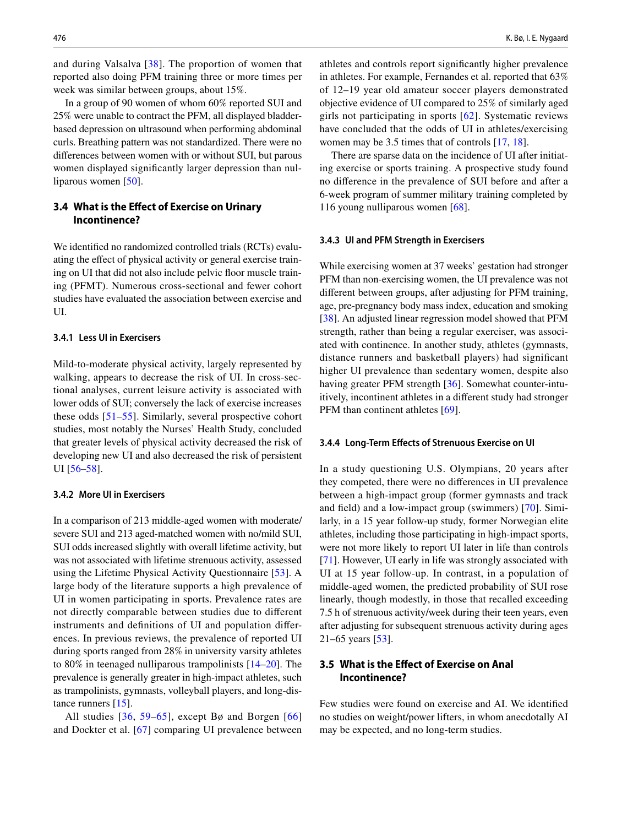and during Valsalva [[38](#page-11-9)]. The proportion of women that reported also doing PFM training three or more times per week was similar between groups, about 15%.

In a group of 90 women of whom 60% reported SUI and 25% were unable to contract the PFM, all displayed bladderbased depression on ultrasound when performing abdominal curls. Breathing pattern was not standardized. There were no diferences between women with or without SUI, but parous women displayed signifcantly larger depression than nul-liparous women [\[50](#page-11-21)].

# **3.4 What is the Efect of Exercise on Urinary Incontinence?**

We identifed no randomized controlled trials (RCTs) evaluating the efect of physical activity or general exercise training on UI that did not also include pelvic floor muscle training (PFMT). Numerous cross-sectional and fewer cohort studies have evaluated the association between exercise and UI.

### **3.4.1 Less UI in Exercisers**

Mild-to-moderate physical activity, largely represented by walking, appears to decrease the risk of UI. In cross-sectional analyses, current leisure activity is associated with lower odds of SUI; conversely the lack of exercise increases these odds [[51–](#page-11-22)[55](#page-11-23)]. Similarly, several prospective cohort studies, most notably the Nurses' Health Study, concluded that greater levels of physical activity decreased the risk of developing new UI and also decreased the risk of persistent UI [\[56–](#page-11-24)[58\]](#page-11-25).

#### **3.4.2 More UI in Exercisers**

In a comparison of 213 middle-aged women with moderate/ severe SUI and 213 aged-matched women with no/mild SUI, SUI odds increased slightly with overall lifetime activity, but was not associated with lifetime strenuous activity, assessed using the Lifetime Physical Activity Questionnaire [\[53](#page-11-26)]. A large body of the literature supports a high prevalence of UI in women participating in sports. Prevalence rates are not directly comparable between studies due to diferent instruments and defnitions of UI and population diferences. In previous reviews, the prevalence of reported UI during sports ranged from 28% in university varsity athletes to 80% in teenaged nulliparous trampolinists [\[14](#page-10-23)–[20\]](#page-10-13). The prevalence is generally greater in high-impact athletes, such as trampolinists, gymnasts, volleyball players, and long-distance runners [\[15](#page-10-14)].

All studies [[36](#page-11-7), [59–](#page-11-27)[65](#page-12-0)], except Bø and Borgen [[66\]](#page-12-1) and Dockter et al. [\[67](#page-12-2)] comparing UI prevalence between athletes and controls report signifcantly higher prevalence in athletes. For example, Fernandes et al. reported that 63% of 12–19 year old amateur soccer players demonstrated objective evidence of UI compared to 25% of similarly aged girls not participating in sports [[62\]](#page-11-28). Systematic reviews have concluded that the odds of UI in athletes/exercising women may be 3.5 times that of controls [[17,](#page-10-24) [18](#page-10-25)].

There are sparse data on the incidence of UI after initiating exercise or sports training. A prospective study found no diference in the prevalence of SUI before and after a 6-week program of summer military training completed by 116 young nulliparous women [\[68](#page-12-3)].

### **3.4.3 UI and PFM Strength in Exercisers**

While exercising women at 37 weeks' gestation had stronger PFM than non-exercising women, the UI prevalence was not diferent between groups, after adjusting for PFM training, age, pre-pregnancy body mass index, education and smoking [\[38\]](#page-11-9). An adjusted linear regression model showed that PFM strength, rather than being a regular exerciser, was associated with continence. In another study, athletes (gymnasts, distance runners and basketball players) had signifcant higher UI prevalence than sedentary women, despite also having greater PFM strength [\[36](#page-11-7)]. Somewhat counter-intuitively, incontinent athletes in a diferent study had stronger PFM than continent athletes [[69\]](#page-12-4).

### **3.4.4 Long‑Term Efects of Strenuous Exercise on UI**

In a study questioning U.S. Olympians, 20 years after they competed, there were no diferences in UI prevalence between a high-impact group (former gymnasts and track and feld) and a low-impact group (swimmers) [[70\]](#page-12-5). Similarly, in a 15 year follow-up study, former Norwegian elite athletes, including those participating in high-impact sports, were not more likely to report UI later in life than controls [[71\]](#page-12-6). However, UI early in life was strongly associated with UI at 15 year follow-up. In contrast, in a population of middle-aged women, the predicted probability of SUI rose linearly, though modestly, in those that recalled exceeding 7.5 h of strenuous activity/week during their teen years, even after adjusting for subsequent strenuous activity during ages 21–65 years [[53\]](#page-11-26).

# **3.5 What is the Efect of Exercise on Anal Incontinence?**

Few studies were found on exercise and AI. We identifed no studies on weight/power lifters, in whom anecdotally AI may be expected, and no long-term studies.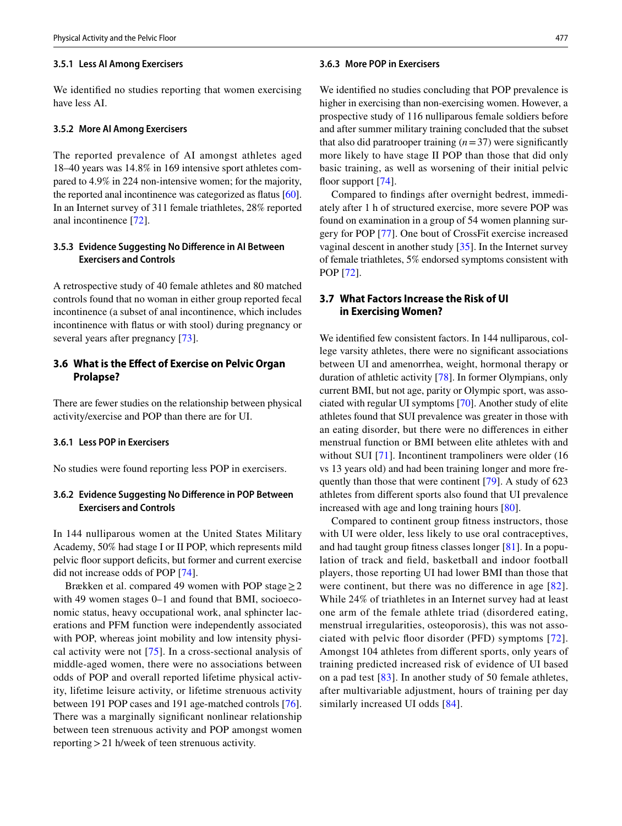#### **3.5.1 Less AI Among Exercisers**

We identifed no studies reporting that women exercising have less AI.

#### **3.5.2 More AI Among Exercisers**

The reported prevalence of AI amongst athletes aged 18–40 years was 14.8% in 169 intensive sport athletes compared to 4.9% in 224 non-intensive women; for the majority, the reported anal incontinence was categorized as fatus [[60](#page-11-29)]. In an Internet survey of 311 female triathletes, 28% reported anal incontinence [[72\]](#page-12-7).

## **3.5.3 Evidence Suggesting No Diference in AI Between Exercisers and Controls**

A retrospective study of 40 female athletes and 80 matched controls found that no woman in either group reported fecal incontinence (a subset of anal incontinence, which includes incontinence with fatus or with stool) during pregnancy or several years after pregnancy [\[73](#page-12-8)].

# **3.6 What is the Efect of Exercise on Pelvic Organ Prolapse?**

There are fewer studies on the relationship between physical activity/exercise and POP than there are for UI.

#### **3.6.1 Less POP in Exercisers**

No studies were found reporting less POP in exercisers.

### **3.6.2 Evidence Suggesting No Diference in POP Between Exercisers and Controls**

In 144 nulliparous women at the United States Military Academy, 50% had stage I or II POP, which represents mild pelvic foor support defcits, but former and current exercise did not increase odds of POP [[74](#page-12-9)].

Brækken et al. compared 49 women with POP stage  $\geq$  2 with 49 women stages 0–1 and found that BMI, socioeconomic status, heavy occupational work, anal sphincter lacerations and PFM function were independently associated with POP, whereas joint mobility and low intensity physical activity were not [\[75](#page-12-10)]. In a cross-sectional analysis of middle-aged women, there were no associations between odds of POP and overall reported lifetime physical activity, lifetime leisure activity, or lifetime strenuous activity between 191 POP cases and 191 age-matched controls [\[76](#page-12-11)]. There was a marginally signifcant nonlinear relationship between teen strenuous activity and POP amongst women reporting>21 h/week of teen strenuous activity.

### **3.6.3 More POP in Exercisers**

We identifed no studies concluding that POP prevalence is higher in exercising than non-exercising women. However, a prospective study of 116 nulliparous female soldiers before and after summer military training concluded that the subset that also did paratrooper training  $(n=37)$  were significantly more likely to have stage II POP than those that did only basic training, as well as worsening of their initial pelvic floor support  $[74]$  $[74]$  $[74]$ .

Compared to fndings after overnight bedrest, immediately after 1 h of structured exercise, more severe POP was found on examination in a group of 54 women planning surgery for POP [[77](#page-12-12)]. One bout of CrossFit exercise increased vaginal descent in another study [\[35](#page-11-6)]. In the Internet survey of female triathletes, 5% endorsed symptoms consistent with POP [\[72\]](#page-12-7).

# **3.7 What Factors Increase the Risk of UI in Exercising Women?**

We identifed few consistent factors. In 144 nulliparous, college varsity athletes, there were no signifcant associations between UI and amenorrhea, weight, hormonal therapy or duration of athletic activity [[78\]](#page-12-13). In former Olympians, only current BMI, but not age, parity or Olympic sport, was associated with regular UI symptoms [[70\]](#page-12-5). Another study of elite athletes found that SUI prevalence was greater in those with an eating disorder, but there were no diferences in either menstrual function or BMI between elite athletes with and without SUI [[71\]](#page-12-6). Incontinent trampoliners were older (16 vs 13 years old) and had been training longer and more frequently than those that were continent [[79\]](#page-12-14). A study of 623 athletes from diferent sports also found that UI prevalence increased with age and long training hours [\[80](#page-12-15)].

Compared to continent group ftness instructors, those with UI were older, less likely to use oral contraceptives, and had taught group ftness classes longer [[81\]](#page-12-16). In a population of track and feld, basketball and indoor football players, those reporting UI had lower BMI than those that were continent, but there was no diference in age [[82](#page-12-17)]. While 24% of triathletes in an Internet survey had at least one arm of the female athlete triad (disordered eating, menstrual irregularities, osteoporosis), this was not associated with pelvic foor disorder (PFD) symptoms [[72](#page-12-7)]. Amongst 104 athletes from diferent sports, only years of training predicted increased risk of evidence of UI based on a pad test [[83](#page-12-18)]. In another study of 50 female athletes, after multivariable adjustment, hours of training per day similarly increased UI odds [[84](#page-12-19)].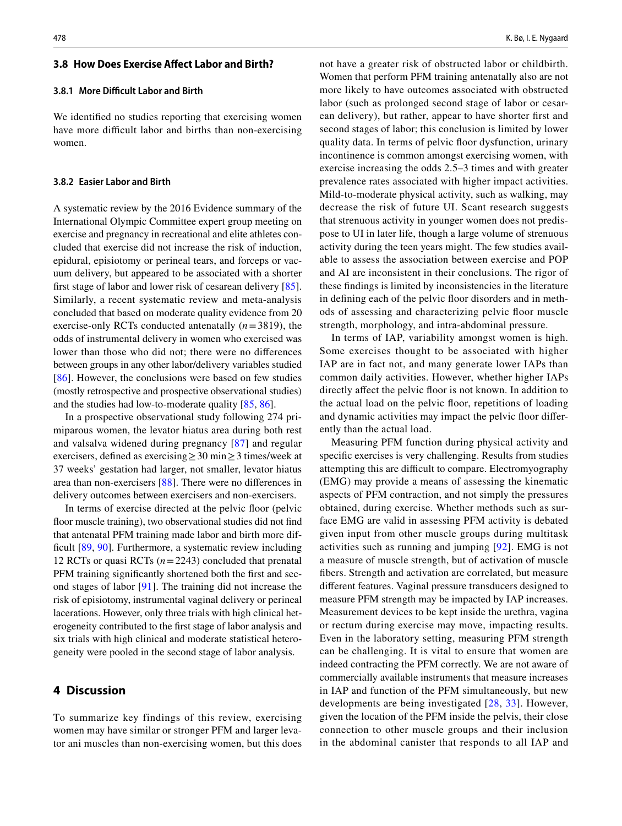### **3.8 How Does Exercise Afect Labor and Birth?**

#### **3.8.1 More Difcult Labor and Birth**

We identifed no studies reporting that exercising women have more difficult labor and births than non-exercising women.

#### **3.8.2 Easier Labor and Birth**

A systematic review by the 2016 Evidence summary of the International Olympic Committee expert group meeting on exercise and pregnancy in recreational and elite athletes concluded that exercise did not increase the risk of induction, epidural, episiotomy or perineal tears, and forceps or vacuum delivery, but appeared to be associated with a shorter frst stage of labor and lower risk of cesarean delivery [\[85](#page-12-20)]. Similarly, a recent systematic review and meta-analysis concluded that based on moderate quality evidence from 20 exercise-only RCTs conducted antenatally (*n*=3819), the odds of instrumental delivery in women who exercised was lower than those who did not; there were no diferences between groups in any other labor/delivery variables studied [\[86\]](#page-12-21). However, the conclusions were based on few studies (mostly retrospective and prospective observational studies) and the studies had low-to-moderate quality [[85,](#page-12-20) [86\]](#page-12-21).

In a prospective observational study following 274 primiparous women, the levator hiatus area during both rest and valsalva widened during pregnancy [[87\]](#page-12-22) and regular exercisers, defned as exercising≥30 min≥3 times/week at 37 weeks' gestation had larger, not smaller, levator hiatus area than non-exercisers [[88](#page-12-23)]. There were no diferences in delivery outcomes between exercisers and non-exercisers.

In terms of exercise directed at the pelvic foor (pelvic foor muscle training), two observational studies did not fnd that antenatal PFM training made labor and birth more dif-ficult [[89](#page-12-24), [90\]](#page-12-25). Furthermore, a systematic review including 12 RCTs or quasi RCTs (*n*=2243) concluded that prenatal PFM training significantly shortened both the first and second stages of labor [[91\]](#page-12-26). The training did not increase the risk of episiotomy, instrumental vaginal delivery or perineal lacerations. However, only three trials with high clinical heterogeneity contributed to the frst stage of labor analysis and six trials with high clinical and moderate statistical heterogeneity were pooled in the second stage of labor analysis.

# **4 Discussion**

To summarize key findings of this review, exercising women may have similar or stronger PFM and larger levator ani muscles than non-exercising women, but this does

not have a greater risk of obstructed labor or childbirth. Women that perform PFM training antenatally also are not more likely to have outcomes associated with obstructed labor (such as prolonged second stage of labor or cesarean delivery), but rather, appear to have shorter frst and second stages of labor; this conclusion is limited by lower quality data. In terms of pelvic floor dysfunction, urinary incontinence is common amongst exercising women, with exercise increasing the odds 2.5–3 times and with greater prevalence rates associated with higher impact activities. Mild-to-moderate physical activity, such as walking, may decrease the risk of future UI. Scant research suggests that strenuous activity in younger women does not predispose to UI in later life, though a large volume of strenuous activity during the teen years might. The few studies available to assess the association between exercise and POP and AI are inconsistent in their conclusions. The rigor of these fndings is limited by inconsistencies in the literature in defning each of the pelvic foor disorders and in methods of assessing and characterizing pelvic floor muscle strength, morphology, and intra-abdominal pressure.

In terms of IAP, variability amongst women is high. Some exercises thought to be associated with higher IAP are in fact not, and many generate lower IAPs than common daily activities. However, whether higher IAPs directly afect the pelvic foor is not known. In addition to the actual load on the pelvic foor, repetitions of loading and dynamic activities may impact the pelvic foor diferently than the actual load.

Measuring PFM function during physical activity and specifc exercises is very challenging. Results from studies attempting this are difficult to compare. Electromyography (EMG) may provide a means of assessing the kinematic aspects of PFM contraction, and not simply the pressures obtained, during exercise. Whether methods such as surface EMG are valid in assessing PFM activity is debated given input from other muscle groups during multitask activities such as running and jumping [[92](#page-12-27)]. EMG is not a measure of muscle strength, but of activation of muscle fbers. Strength and activation are correlated, but measure diferent features. Vaginal pressure transducers designed to measure PFM strength may be impacted by IAP increases. Measurement devices to be kept inside the urethra, vagina or rectum during exercise may move, impacting results. Even in the laboratory setting, measuring PFM strength can be challenging. It is vital to ensure that women are indeed contracting the PFM correctly. We are not aware of commercially available instruments that measure increases in IAP and function of the PFM simultaneously, but new developments are being investigated [[28](#page-10-22), [33\]](#page-11-4). However, given the location of the PFM inside the pelvis, their close connection to other muscle groups and their inclusion in the abdominal canister that responds to all IAP and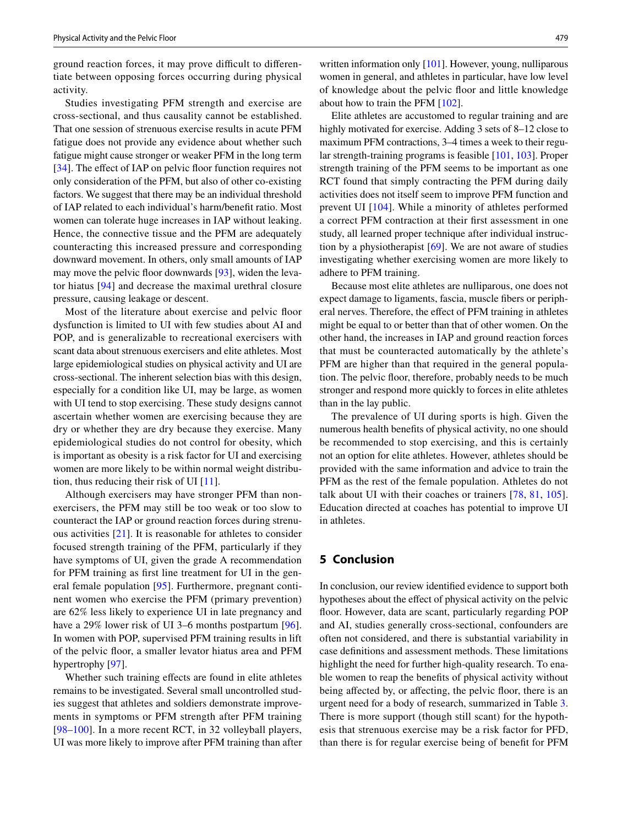ground reaction forces, it may prove difficult to differentiate between opposing forces occurring during physical activity.

Studies investigating PFM strength and exercise are cross-sectional, and thus causality cannot be established. That one session of strenuous exercise results in acute PFM fatigue does not provide any evidence about whether such fatigue might cause stronger or weaker PFM in the long term [\[34\]](#page-11-5). The effect of IAP on pelvic floor function requires not only consideration of the PFM, but also of other co-existing factors. We suggest that there may be an individual threshold of IAP related to each individual's harm/beneft ratio. Most women can tolerate huge increases in IAP without leaking. Hence, the connective tissue and the PFM are adequately counteracting this increased pressure and corresponding downward movement. In others, only small amounts of IAP may move the pelvic floor downwards [\[93](#page-12-28)], widen the levator hiatus [[94\]](#page-12-29) and decrease the maximal urethral closure pressure, causing leakage or descent.

Most of the literature about exercise and pelvic floor dysfunction is limited to UI with few studies about AI and POP, and is generalizable to recreational exercisers with scant data about strenuous exercisers and elite athletes. Most large epidemiological studies on physical activity and UI are cross-sectional. The inherent selection bias with this design, especially for a condition like UI, may be large, as women with UI tend to stop exercising. These study designs cannot ascertain whether women are exercising because they are dry or whether they are dry because they exercise. Many epidemiological studies do not control for obesity, which is important as obesity is a risk factor for UI and exercising women are more likely to be within normal weight distribution, thus reducing their risk of UI [\[11](#page-10-10)].

Although exercisers may have stronger PFM than nonexercisers, the PFM may still be too weak or too slow to counteract the IAP or ground reaction forces during strenuous activities [\[21](#page-10-15)]. It is reasonable for athletes to consider focused strength training of the PFM, particularly if they have symptoms of UI, given the grade A recommendation for PFM training as frst line treatment for UI in the general female population [[95](#page-12-30)]. Furthermore, pregnant continent women who exercise the PFM (primary prevention) are 62% less likely to experience UI in late pregnancy and have a 29% lower risk of UI 3–6 months postpartum [[96](#page-12-31)]. In women with POP, supervised PFM training results in lift of the pelvic foor, a smaller levator hiatus area and PFM hypertrophy [[97](#page-12-32)].

Whether such training effects are found in elite athletes remains to be investigated. Several small uncontrolled studies suggest that athletes and soldiers demonstrate improvements in symptoms or PFM strength after PFM training [\[98–](#page-12-33)[100](#page-12-34)]. In a more recent RCT, in 32 volleyball players, UI was more likely to improve after PFM training than after written information only [\[101\]](#page-13-10). However, young, nulliparous women in general, and athletes in particular, have low level of knowledge about the pelvic foor and little knowledge about how to train the PFM [[102\]](#page-13-11).

Elite athletes are accustomed to regular training and are highly motivated for exercise. Adding 3 sets of 8–12 close to maximum PFM contractions, 3–4 times a week to their regular strength-training programs is feasible [\[101](#page-13-10), [103](#page-13-12)]. Proper strength training of the PFM seems to be important as one RCT found that simply contracting the PFM during daily activities does not itself seem to improve PFM function and prevent UI [[104](#page-13-13)]. While a minority of athletes performed a correct PFM contraction at their frst assessment in one study, all learned proper technique after individual instruction by a physiotherapist [[69\]](#page-12-4). We are not aware of studies investigating whether exercising women are more likely to adhere to PFM training.

Because most elite athletes are nulliparous, one does not expect damage to ligaments, fascia, muscle fbers or peripheral nerves. Therefore, the efect of PFM training in athletes might be equal to or better than that of other women. On the other hand, the increases in IAP and ground reaction forces that must be counteracted automatically by the athlete's PFM are higher than that required in the general population. The pelvic floor, therefore, probably needs to be much stronger and respond more quickly to forces in elite athletes than in the lay public.

The prevalence of UI during sports is high. Given the numerous health benefts of physical activity, no one should be recommended to stop exercising, and this is certainly not an option for elite athletes. However, athletes should be provided with the same information and advice to train the PFM as the rest of the female population. Athletes do not talk about UI with their coaches or trainers [\[78,](#page-12-13) [81](#page-12-16), [105](#page-13-14)]. Education directed at coaches has potential to improve UI in athletes.

# **5 Conclusion**

In conclusion, our review identifed evidence to support both hypotheses about the effect of physical activity on the pelvic foor. However, data are scant, particularly regarding POP and AI, studies generally cross-sectional, confounders are often not considered, and there is substantial variability in case defnitions and assessment methods. These limitations highlight the need for further high-quality research. To enable women to reap the benefts of physical activity without being affected by, or affecting, the pelvic floor, there is an urgent need for a body of research, summarized in Table [3.](#page-9-0) There is more support (though still scant) for the hypothesis that strenuous exercise may be a risk factor for PFD, than there is for regular exercise being of beneft for PFM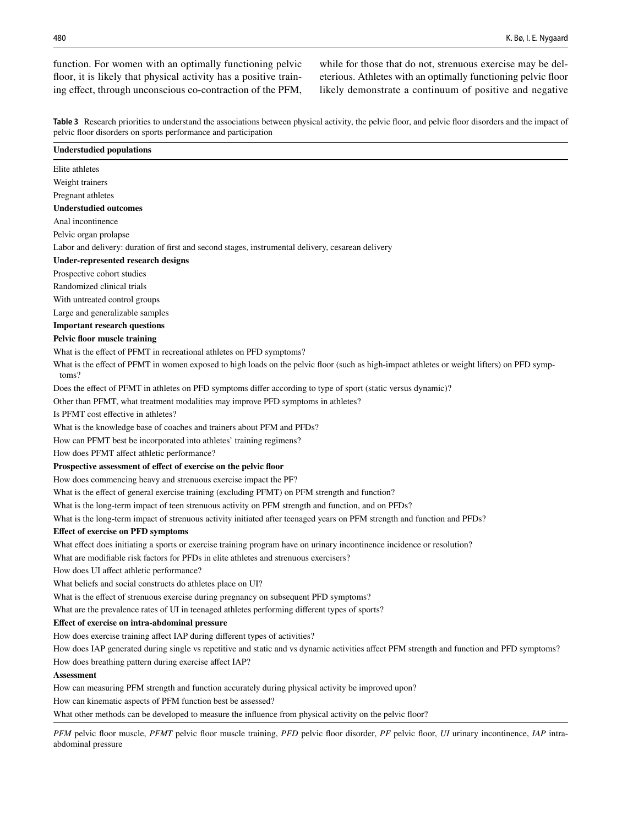function. For women with an optimally functioning pelvic foor, it is likely that physical activity has a positive training efect, through unconscious co-contraction of the PFM, while for those that do not, strenuous exercise may be deleterious. Athletes with an optimally functioning pelvic foor likely demonstrate a continuum of positive and negative

<span id="page-9-0"></span>**Table 3** Research priorities to understand the associations between physical activity, the pelvic foor, and pelvic foor disorders and the impact of pelvic foor disorders on sports performance and participation

| <b>Understudied populations</b>                                                                                                                      |
|------------------------------------------------------------------------------------------------------------------------------------------------------|
| Elite athletes                                                                                                                                       |
| Weight trainers                                                                                                                                      |
| Pregnant athletes                                                                                                                                    |
| <b>Understudied outcomes</b>                                                                                                                         |
| Anal incontinence                                                                                                                                    |
| Pelvic organ prolapse                                                                                                                                |
| Labor and delivery: duration of first and second stages, instrumental delivery, cesarean delivery                                                    |
| <b>Under-represented research designs</b>                                                                                                            |
| Prospective cohort studies                                                                                                                           |
| Randomized clinical trials                                                                                                                           |
| With untreated control groups                                                                                                                        |
| Large and generalizable samples                                                                                                                      |
| <b>Important research questions</b>                                                                                                                  |
| Pelvic floor muscle training                                                                                                                         |
| What is the effect of PFMT in recreational athletes on PFD symptoms?                                                                                 |
| What is the effect of PFMT in women exposed to high loads on the pelvic floor (such as high-impact athletes or weight lifters) on PFD symp-<br>toms? |
| Does the effect of PFMT in athletes on PFD symptoms differ according to type of sport (static versus dynamic)?                                       |
| Other than PFMT, what treatment modalities may improve PFD symptoms in athletes?                                                                     |
| Is PFMT cost effective in athletes?                                                                                                                  |
| What is the knowledge base of coaches and trainers about PFM and PFDs?                                                                               |
| How can PFMT best be incorporated into athletes' training regimens?                                                                                  |
| How does PFMT affect athletic performance?                                                                                                           |
| Prospective assessment of effect of exercise on the pelvic floor                                                                                     |
| How does commencing heavy and strenuous exercise impact the PF?                                                                                      |
| What is the effect of general exercise training (excluding PFMT) on PFM strength and function?                                                       |
| What is the long-term impact of teen strenuous activity on PFM strength and function, and on PFDs?                                                   |
| What is the long-term impact of strenuous activity initiated after teenaged years on PFM strength and function and PFDs?                             |
| <b>Effect of exercise on PFD symptoms</b>                                                                                                            |
| What effect does initiating a sports or exercise training program have on urinary incontinence incidence or resolution?                              |
| What are modifiable risk factors for PFDs in elite athletes and strenuous exercisers?                                                                |
| How does UI affect athletic performance?                                                                                                             |
| What beliefs and social constructs do athletes place on UI?                                                                                          |
| What is the effect of strenuous exercise during pregnancy on subsequent PFD symptoms?                                                                |
| What are the prevalence rates of UI in teenaged athletes performing different types of sports?                                                       |
| Effect of exercise on intra-abdominal pressure                                                                                                       |
| How does exercise training affect IAP during different types of activities?                                                                          |
| How does IAP generated during single vs repetitive and static and vs dynamic activities affect PFM strength and function and PFD symptoms?           |
| How does breathing pattern during exercise affect IAP?                                                                                               |
| <b>Assessment</b>                                                                                                                                    |
| How can measuring PFM strength and function accurately during physical activity be improved upon?                                                    |
| How can kinematic aspects of PFM function best be assessed?                                                                                          |
|                                                                                                                                                      |

What other methods can be developed to measure the influence from physical activity on the pelvic floor?

*PFM* pelvic foor muscle, *PFMT* pelvic foor muscle training, *PFD* pelvic foor disorder, *PF* pelvic foor, *UI* urinary incontinence, *IAP* intraabdominal pressure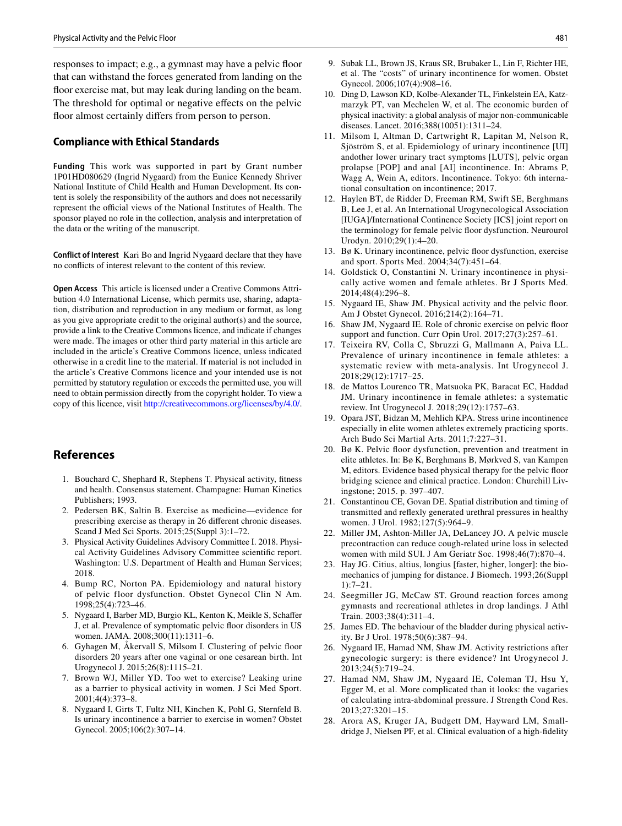responses to impact; e.g., a gymnast may have a pelvic foor that can withstand the forces generated from landing on the floor exercise mat, but may leak during landing on the beam. The threshold for optimal or negative efects on the pelvic floor almost certainly differs from person to person.

### **Compliance with Ethical Standards**

**Funding** This work was supported in part by Grant number 1P01HD080629 (Ingrid Nygaard) from the Eunice Kennedy Shriver National Institute of Child Health and Human Development. Its content is solely the responsibility of the authors and does not necessarily represent the official views of the National Institutes of Health. The sponsor played no role in the collection, analysis and interpretation of the data or the writing of the manuscript.

**Conflict of Interest** Kari Bo and Ingrid Nygaard declare that they have no conficts of interest relevant to the content of this review.

**Open Access** This article is licensed under a Creative Commons Attribution 4.0 International License, which permits use, sharing, adaptation, distribution and reproduction in any medium or format, as long as you give appropriate credit to the original author(s) and the source, provide a link to the Creative Commons licence, and indicate if changes were made. The images or other third party material in this article are included in the article's Creative Commons licence, unless indicated otherwise in a credit line to the material. If material is not included in the article's Creative Commons licence and your intended use is not permitted by statutory regulation or exceeds the permitted use, you will need to obtain permission directly from the copyright holder. To view a copy of this licence, visit <http://creativecommons.org/licenses/by/4.0/>.

# **References**

- <span id="page-10-0"></span>1. Bouchard C, Shephard R, Stephens T. Physical activity, ftness and health. Consensus statement. Champagne: Human Kinetics Publishers; 1993.
- <span id="page-10-1"></span>2. Pedersen BK, Saltin B. Exercise as medicine—evidence for prescribing exercise as therapy in 26 diferent chronic diseases. Scand J Med Sci Sports. 2015;25(Suppl 3):1–72.
- <span id="page-10-2"></span>3. Physical Activity Guidelines Advisory Committee I. 2018. Physical Activity Guidelines Advisory Committee scientifc report. Washington: U.S. Department of Health and Human Services; 2018.
- <span id="page-10-3"></span>4. Bump RC, Norton PA. Epidemiology and natural history of pelvic floor dysfunction. Obstet Gynecol Clin N Am. 1998;25(4):723–46.
- <span id="page-10-4"></span>5. Nygaard I, Barber MD, Burgio KL, Kenton K, Meikle S, Schafer J, et al. Prevalence of symptomatic pelvic foor disorders in US women. JAMA. 2008;300(11):1311–6.
- <span id="page-10-5"></span>6. Gyhagen M, Åkervall S, Milsom I. Clustering of pelvic foor disorders 20 years after one vaginal or one cesarean birth. Int Urogynecol J. 2015;26(8):1115–21.
- <span id="page-10-6"></span>7. Brown WJ, Miller YD. Too wet to exercise? Leaking urine as a barrier to physical activity in women. J Sci Med Sport. 2001;4(4):373–8.
- <span id="page-10-7"></span>8. Nygaard I, Girts T, Fultz NH, Kinchen K, Pohl G, Sternfeld B. Is urinary incontinence a barrier to exercise in women? Obstet Gynecol. 2005;106(2):307–14.
- <span id="page-10-8"></span>9. Subak LL, Brown JS, Kraus SR, Brubaker L, Lin F, Richter HE, et al. The "costs" of urinary incontinence for women. Obstet Gynecol. 2006;107(4):908–16.
- <span id="page-10-9"></span>10. Ding D, Lawson KD, Kolbe-Alexander TL, Finkelstein EA, Katzmarzyk PT, van Mechelen W, et al. The economic burden of physical inactivity: a global analysis of major non-communicable diseases. Lancet. 2016;388(10051):1311–24.
- <span id="page-10-10"></span>11. Milsom I, Altman D, Cartwright R, Lapitan M, Nelson R, Sjöström S, et al. Epidemiology of urinary incontinence [UI] andother lower urinary tract symptoms [LUTS], pelvic organ prolapse [POP] and anal [AI] incontinence. In: Abrams P, Wagg A, Wein A, editors. Incontinence. Tokyo: 6th international consultation on incontinence; 2017.
- <span id="page-10-11"></span>12. Haylen BT, de Ridder D, Freeman RM, Swift SE, Berghmans B, Lee J, et al. An International Urogynecological Association [IUGA]/International Continence Society [ICS] joint report on the terminology for female pelvic foor dysfunction. Neurourol Urodyn. 2010;29(1):4–20.
- <span id="page-10-12"></span>13. Bø K. Urinary incontinence, pelvic foor dysfunction, exercise and sport. Sports Med. 2004;34(7):451–64.
- <span id="page-10-23"></span>14. Goldstick O, Constantini N. Urinary incontinence in physically active women and female athletes. Br J Sports Med. 2014;48(4):296–8.
- <span id="page-10-14"></span>15. Nygaard IE, Shaw JM. Physical activity and the pelvic foor. Am J Obstet Gynecol. 2016;214(2):164–71.
- 16. Shaw JM, Nygaard IE. Role of chronic exercise on pelvic foor support and function. Curr Opin Urol. 2017;27(3):257–61.
- <span id="page-10-24"></span>17. Teixeira RV, Colla C, Sbruzzi G, Mallmann A, Paiva LL. Prevalence of urinary incontinence in female athletes: a systematic review with meta-analysis. Int Urogynecol J. 2018;29(12):1717–25.
- <span id="page-10-25"></span>18. de Mattos Lourenco TR, Matsuoka PK, Baracat EC, Haddad JM. Urinary incontinence in female athletes: a systematic review. Int Urogynecol J. 2018;29(12):1757–63.
- 19. Opara JST, Bidzan M, Mehlich KPA. Stress urine incontinence especially in elite women athletes extremely practicing sports. Arch Budo Sci Martial Arts. 2011;7:227–31.
- <span id="page-10-13"></span>20. Bø K. Pelvic floor dysfunction, prevention and treatment in elite athletes. In: Bø K, Berghmans B, Mørkved S, van Kampen M, editors. Evidence based physical therapy for the pelvic foor bridging science and clinical practice. London: Churchill Livingstone; 2015. p. 397–407.
- <span id="page-10-15"></span>21. Constantinou CE, Govan DE. Spatial distribution and timing of transmitted and refexly generated urethral pressures in healthy women. J Urol. 1982;127(5):964–9.
- <span id="page-10-16"></span>22. Miller JM, Ashton-Miller JA, DeLancey JO. A pelvic muscle precontraction can reduce cough-related urine loss in selected women with mild SUI. J Am Geriatr Soc. 1998;46(7):870–4.
- <span id="page-10-17"></span>23. Hay JG. Citius, altius, longius [faster, higher, longer]: the biomechanics of jumping for distance. J Biomech. 1993;26(Suppl 1):7–21.
- <span id="page-10-18"></span>24. Seegmiller JG, McCaw ST. Ground reaction forces among gymnasts and recreational athletes in drop landings. J Athl Train. 2003;38(4):311–4.
- <span id="page-10-19"></span>25. James ED. The behaviour of the bladder during physical activity. Br J Urol. 1978;50(6):387–94.
- <span id="page-10-20"></span>26. Nygaard IE, Hamad NM, Shaw JM. Activity restrictions after gynecologic surgery: is there evidence? Int Urogynecol J. 2013;24(5):719–24.
- <span id="page-10-21"></span>27. Hamad NM, Shaw JM, Nygaard IE, Coleman TJ, Hsu Y, Egger M, et al. More complicated than it looks: the vagaries of calculating intra-abdominal pressure. J Strength Cond Res. 2013;27:3201–15.
- <span id="page-10-22"></span>28. Arora AS, Kruger JA, Budgett DM, Hayward LM, Smalldridge J, Nielsen PF, et al. Clinical evaluation of a high-fdelity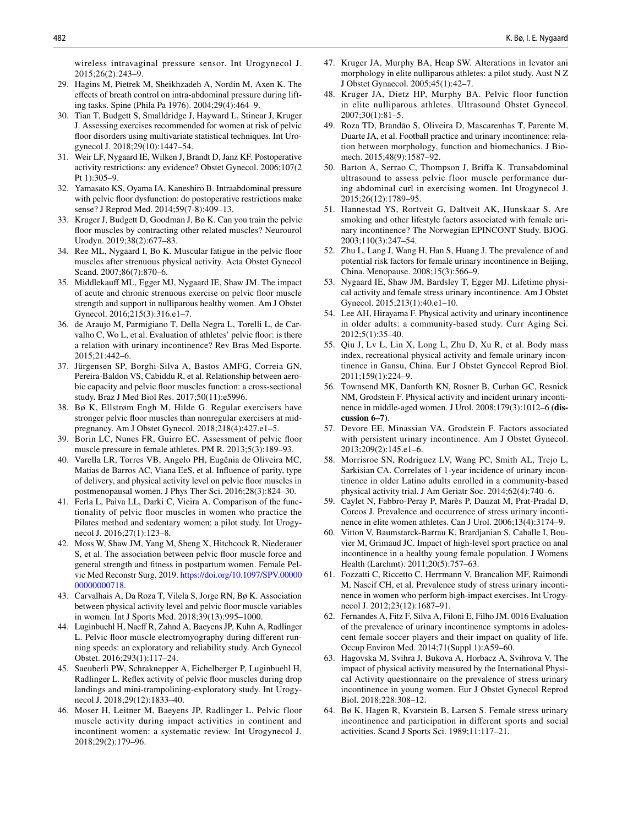wireless intravaginal pressure sensor. Int Urogynecol J. 2015;26(2):243–9.

- <span id="page-11-0"></span>29. Hagins M, Pietrek M, Sheikhzadeh A, Nordin M, Axen K. The efects of breath control on intra-abdominal pressure during lifting tasks. Spine (Phila Pa 1976). 2004;29(4):464–9.
- <span id="page-11-1"></span>30. Tian T, Budgett S, Smalldridge J, Hayward L, Stinear J, Kruger J. Assessing exercises recommended for women at risk of pelvic foor disorders using multivariate statistical techniques. Int Urogynecol J. 2018;29(10):1447–54.
- <span id="page-11-2"></span>31. Weir LF, Nygaard IE, Wilken J, Brandt D, Janz KF. Postoperative activity restrictions: any evidence? Obstet Gynecol. 2006;107(2 Pt 1):305–9.
- <span id="page-11-3"></span>32. Yamasato KS, Oyama IA, Kaneshiro B. Intraabdominal pressure with pelvic foor dysfunction: do postoperative restrictions make sense? J Reprod Med. 2014;59(7-8):409–13.
- <span id="page-11-4"></span>33. Kruger J, Budgett D, Goodman J, Bø K. Can you train the pelvic foor muscles by contracting other related muscles? Neurourol Urodyn. 2019;38(2):677–83.
- <span id="page-11-5"></span>34. Ree ML, Nygaard I, Bo K. Muscular fatigue in the pelvic foor muscles after strenuous physical activity. Acta Obstet Gynecol Scand. 2007;86(7):870–6.
- <span id="page-11-6"></span>35. Middlekauf ML, Egger MJ, Nygaard IE, Shaw JM. The impact of acute and chronic strenuous exercise on pelvic foor muscle strength and support in nulliparous healthy women. Am J Obstet Gynecol. 2016;215(3):316.e1–7.
- <span id="page-11-7"></span>36. de Araujo M, Parmigiano T, Della Negra L, Torelli L, de Carvalho C, Wo L, et al. Evaluation of athletes' pelvic floor: is there a relation with urinary incontinence? Rev Bras Med Esporte. 2015;21:442–6.
- <span id="page-11-8"></span>37. Jürgensen SP, Borghi-Silva A, Bastos AMFG, Correia GN, Pereira-Baldon VS, Cabiddu R, et al. Relationship between aerobic capacity and pelvic foor muscles function: a cross-sectional study. Braz J Med Biol Res. 2017;50(11):e5996.
- <span id="page-11-9"></span>38. Bø K, Ellstrøm Engh M, Hilde G. Regular exercisers have stronger pelvic foor muscles than nonregular exercisers at midpregnancy. Am J Obstet Gynecol. 2018;218(4):427.e1–5.
- <span id="page-11-10"></span>39. Borin LC, Nunes FR, Guirro EC. Assessment of pelvic foor muscle pressure in female athletes. PM R. 2013;5(3):189–93.
- <span id="page-11-11"></span>40. Varella LR, Torres VB, Angelo PH, Eugênia de Oliveira MC, Matias de Barros AC, Viana EeS, et al. Infuence of parity, type of delivery, and physical activity level on pelvic foor muscles in postmenopausal women. J Phys Ther Sci. 2016;28(3):824–30.
- <span id="page-11-12"></span>41. Ferla L, Paiva LL, Darki C, Vieira A. Comparison of the functionality of pelvic foor muscles in women who practice the Pilates method and sedentary women: a pilot study. Int Urogynecol J. 2016;27(1):123–8.
- <span id="page-11-13"></span>42. Moss W, Shaw JM, Yang M, Sheng X, Hitchcock R, Niederauer S, et al. The association between pelvic floor muscle force and general strength and ftness in postpartum women. Female Pelvic Med Reconstr Surg. 2019. [https://doi.org/10.1097/SPV.00000](https://doi.org/10.1097/SPV.0000000000000718) [00000000718.](https://doi.org/10.1097/SPV.0000000000000718)
- <span id="page-11-14"></span>43. Carvalhais A, Da Roza T, Vilela S, Jorge RN, Bø K. Association between physical activity level and pelvic foor muscle variables in women. Int J Sports Med. 2018;39(13):995–1000.
- <span id="page-11-15"></span>44. Luginbuehl H, Naef R, Zahnd A, Baeyens JP, Kuhn A, Radlinger L. Pelvic foor muscle electromyography during diferent running speeds: an exploratory and reliability study. Arch Gynecol Obstet. 2016;293(1):117–24.
- <span id="page-11-16"></span>45. Saeuberli PW, Schraknepper A, Eichelberger P, Luginbuehl H, Radlinger L. Refex activity of pelvic foor muscles during drop landings and mini-trampolining-exploratory study. Int Urogynecol J. 2018;29(12):1833–40.
- <span id="page-11-17"></span>46. Moser H, Leitner M, Baeyens JP, Radlinger L. Pelvic floor muscle activity during impact activities in continent and incontinent women: a systematic review. Int Urogynecol J. 2018;29(2):179–96.
- <span id="page-11-18"></span>47. Kruger JA, Murphy BA, Heap SW. Alterations in levator ani morphology in elite nulliparous athletes: a pilot study. Aust N Z J Obstet Gynaecol. 2005;45(1):42–7.
- <span id="page-11-19"></span>48. Kruger JA, Dietz HP, Murphy BA. Pelvic floor function in elite nulliparous athletes. Ultrasound Obstet Gynecol. 2007;30(1):81–5.
- <span id="page-11-20"></span>49. Roza TD, Brandão S, Oliveira D, Mascarenhas T, Parente M, Duarte JA, et al. Football practice and urinary incontinence: relation between morphology, function and biomechanics. J Biomech. 2015;48(9):1587–92.
- <span id="page-11-21"></span>50. Barton A, Serrao C, Thompson J, Brifa K. Transabdominal ultrasound to assess pelvic floor muscle performance during abdominal curl in exercising women. Int Urogynecol J. 2015;26(12):1789–95.
- <span id="page-11-22"></span>51. Hannestad YS, Rortveit G, Daltveit AK, Hunskaar S. Are smoking and other lifestyle factors associated with female urinary incontinence? The Norwegian EPINCONT Study. BJOG. 2003;110(3):247–54.
- 52. Zhu L, Lang J, Wang H, Han S, Huang J. The prevalence of and potential risk factors for female urinary incontinence in Beijing, China. Menopause. 2008;15(3):566–9.
- <span id="page-11-26"></span>53. Nygaard IE, Shaw JM, Bardsley T, Egger MJ. Lifetime physical activity and female stress urinary incontinence. Am J Obstet Gynecol. 2015;213(1):40.e1–10.
- 54. Lee AH, Hirayama F. Physical activity and urinary incontinence in older adults: a community-based study. Curr Aging Sci. 2012;5(1):35–40.
- <span id="page-11-23"></span>55. Qiu J, Lv L, Lin X, Long L, Zhu D, Xu R, et al. Body mass index, recreational physical activity and female urinary incontinence in Gansu, China. Eur J Obstet Gynecol Reprod Biol. 2011;159(1):224–9.
- <span id="page-11-24"></span>56. Townsend MK, Danforth KN, Rosner B, Curhan GC, Resnick NM, Grodstein F. Physical activity and incident urinary incontinence in middle-aged women. J Urol. 2008;179(3):1012–6 **(discussion 6–7)**.
- 57. Devore EE, Minassian VA, Grodstein F. Factors associated with persistent urinary incontinence. Am J Obstet Gynecol. 2013;209(2):145.e1–6.
- <span id="page-11-25"></span>58. Morrisroe SN, Rodriguez LV, Wang PC, Smith AL, Trejo L, Sarkisian CA. Correlates of 1-year incidence of urinary incontinence in older Latino adults enrolled in a community-based physical activity trial. J Am Geriatr Soc. 2014;62(4):740–6.
- <span id="page-11-27"></span>59. Caylet N, Fabbro-Peray P, Marès P, Dauzat M, Prat-Pradal D, Corcos J. Prevalence and occurrence of stress urinary incontinence in elite women athletes. Can J Urol. 2006;13(4):3174–9.
- <span id="page-11-29"></span>60. Vitton V, Baumstarck-Barrau K, Brardjanian S, Caballe I, Bouvier M, Grimaud JC. Impact of high-level sport practice on anal incontinence in a healthy young female population. J Womens Health (Larchmt). 2011;20(5):757–63.
- 61. Fozzatti C, Riccetto C, Herrmann V, Brancalion MF, Raimondi M, Nascif CH, et al. Prevalence study of stress urinary incontinence in women who perform high-impact exercises. Int Urogynecol J. 2012;23(12):1687–91.
- <span id="page-11-28"></span>62. Fernandes A, Fitz F, Silva A, Filoni E, Filho JM. 0016 Evaluation of the prevalence of urinary incontinence symptoms in adolescent female soccer players and their impact on quality of life. Occup Environ Med. 2014;71(Suppl 1):A59–60.
- 63. Hagovska M, Svihra J, Bukova A, Horbacz A, Svihrova V. The impact of physical activity measured by the International Physical Activity questionnaire on the prevalence of stress urinary incontinence in young women. Eur J Obstet Gynecol Reprod Biol. 2018;228:308–12.
- 64. Bø K, Hagen R, Kvarstein B, Larsen S. Female stress urinary incontinence and participation in diferent sports and social activities. Scand J Sports Sci. 1989;11:117–21.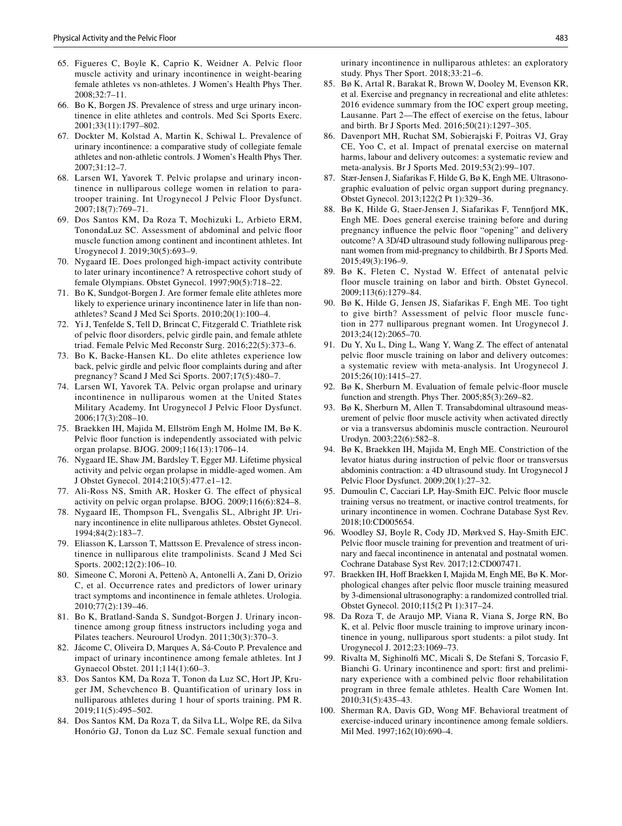- <span id="page-12-0"></span>65. Figueres C, Boyle K, Caprio K, Weidner A. Pelvic floor muscle activity and urinary incontinence in weight-bearing female athletes vs non-athletes. J Women's Health Phys Ther. 2008;32:7–11.
- <span id="page-12-1"></span>66. Bo K, Borgen JS. Prevalence of stress and urge urinary incontinence in elite athletes and controls. Med Sci Sports Exerc. 2001;33(11):1797–802.
- <span id="page-12-2"></span>67. Dockter M, Kolstad A, Martin K, Schiwal L. Prevalence of urinary incontinence: a comparative study of collegiate female athletes and non-athletic controls. J Women's Health Phys Ther. 2007;31:12–7.
- <span id="page-12-3"></span>68. Larsen WI, Yavorek T. Pelvic prolapse and urinary incontinence in nulliparous college women in relation to paratrooper training. Int Urogynecol J Pelvic Floor Dysfunct. 2007;18(7):769–71.
- <span id="page-12-4"></span>69. Dos Santos KM, Da Roza T, Mochizuki L, Arbieto ERM, TonondaLuz SC. Assessment of abdominal and pelvic foor muscle function among continent and incontinent athletes. Int Urogynecol J. 2019;30(5):693–9.
- <span id="page-12-5"></span>70. Nygaard IE. Does prolonged high-impact activity contribute to later urinary incontinence? A retrospective cohort study of female Olympians. Obstet Gynecol. 1997;90(5):718–22.
- <span id="page-12-6"></span>71. Bo K, Sundgot-Borgen J. Are former female elite athletes more likely to experience urinary incontinence later in life than nonathletes? Scand J Med Sci Sports. 2010;20(1):100–4.
- <span id="page-12-7"></span>72. Yi J, Tenfelde S, Tell D, Brincat C, Fitzgerald C. Triathlete risk of pelvic foor disorders, pelvic girdle pain, and female athlete triad. Female Pelvic Med Reconstr Surg. 2016;22(5):373–6.
- <span id="page-12-8"></span>73. Bo K, Backe-Hansen KL. Do elite athletes experience low back, pelvic girdle and pelvic foor complaints during and after pregnancy? Scand J Med Sci Sports. 2007;17(5):480–7.
- <span id="page-12-9"></span>74. Larsen WI, Yavorek TA. Pelvic organ prolapse and urinary incontinence in nulliparous women at the United States Military Academy. Int Urogynecol J Pelvic Floor Dysfunct. 2006;17(3):208–10.
- <span id="page-12-10"></span>75. Braekken IH, Majida M, Ellström Engh M, Holme IM, Bø K. Pelvic floor function is independently associated with pelvic organ prolapse. BJOG. 2009;116(13):1706–14.
- <span id="page-12-11"></span>76. Nygaard IE, Shaw JM, Bardsley T, Egger MJ. Lifetime physical activity and pelvic organ prolapse in middle-aged women. Am J Obstet Gynecol. 2014;210(5):477.e1–12.
- <span id="page-12-12"></span>77. Ali-Ross NS, Smith AR, Hosker G. The efect of physical activity on pelvic organ prolapse. BJOG. 2009;116(6):824–8.
- <span id="page-12-13"></span>78. Nygaard IE, Thompson FL, Svengalis SL, Albright JP. Urinary incontinence in elite nulliparous athletes. Obstet Gynecol. 1994;84(2):183–7.
- <span id="page-12-14"></span>79. Eliasson K, Larsson T, Mattsson E. Prevalence of stress incontinence in nulliparous elite trampolinists. Scand J Med Sci Sports. 2002;12(2):106–10.
- <span id="page-12-15"></span>80. Simeone C, Moroni A, Pettenò A, Antonelli A, Zani D, Orizio C, et al. Occurrence rates and predictors of lower urinary tract symptoms and incontinence in female athletes. Urologia. 2010;77(2):139–46.
- <span id="page-12-16"></span>81. Bo K, Bratland-Sanda S, Sundgot-Borgen J. Urinary incontinence among group ftness instructors including yoga and Pilates teachers. Neurourol Urodyn. 2011;30(3):370–3.
- <span id="page-12-17"></span>82. Jácome C, Oliveira D, Marques A, Sá-Couto P. Prevalence and impact of urinary incontinence among female athletes. Int J Gynaecol Obstet. 2011;114(1):60–3.
- <span id="page-12-18"></span>83. Dos Santos KM, Da Roza T, Tonon da Luz SC, Hort JP, Kruger JM, Schevchenco B. Quantification of urinary loss in nulliparous athletes during 1 hour of sports training. PM R. 2019;11(5):495–502.
- <span id="page-12-19"></span>84. Dos Santos KM, Da Roza T, da Silva LL, Wolpe RE, da Silva Honório GJ, Tonon da Luz SC. Female sexual function and

urinary incontinence in nulliparous athletes: an exploratory study. Phys Ther Sport. 2018;33:21–6.

- <span id="page-12-20"></span>85. Bø K, Artal R, Barakat R, Brown W, Dooley M, Evenson KR, et al. Exercise and pregnancy in recreational and elite athletes: 2016 evidence summary from the IOC expert group meeting, Lausanne. Part 2—The effect of exercise on the fetus, labour and birth. Br J Sports Med. 2016;50(21):1297–305.
- <span id="page-12-21"></span>86. Davenport MH, Ruchat SM, Sobierajski F, Poitras VJ, Gray CE, Yoo C, et al. Impact of prenatal exercise on maternal harms, labour and delivery outcomes: a systematic review and meta-analysis. Br J Sports Med. 2019;53(2):99–107.
- <span id="page-12-22"></span>87. Stær-Jensen J, Siafarikas F, Hilde G, Bø K, Engh ME. Ultrasonographic evaluation of pelvic organ support during pregnancy. Obstet Gynecol. 2013;122(2 Pt 1):329–36.
- <span id="page-12-23"></span>88. Bø K, Hilde G, Staer-Jensen J, Siafarikas F, Tennford MK, Engh ME. Does general exercise training before and during pregnancy infuence the pelvic foor "opening" and delivery outcome? A 3D/4D ultrasound study following nulliparous pregnant women from mid-pregnancy to childbirth. Br J Sports Med. 2015;49(3):196–9.
- <span id="page-12-24"></span>89. Bø K, Fleten C, Nystad W. Effect of antenatal pelvic floor muscle training on labor and birth. Obstet Gynecol. 2009;113(6):1279–84.
- <span id="page-12-25"></span>90. Bø K, Hilde G, Jensen JS, Siafarikas F, Engh ME. Too tight to give birth? Assessment of pelvic floor muscle function in 277 nulliparous pregnant women. Int Urogynecol J. 2013;24(12):2065–70.
- <span id="page-12-26"></span>91. Du Y, Xu L, Ding L, Wang Y, Wang Z. The efect of antenatal pelvic foor muscle training on labor and delivery outcomes: a systematic review with meta-analysis. Int Urogynecol J. 2015;26(10):1415–27.
- <span id="page-12-27"></span>92. Bø K, Sherburn M. Evaluation of female pelvic-foor muscle function and strength. Phys Ther. 2005;85(3):269–82.
- <span id="page-12-28"></span>93. Bø K, Sherburn M, Allen T. Transabdominal ultrasound measurement of pelvic foor muscle activity when activated directly or via a transversus abdominis muscle contraction. Neurourol Urodyn. 2003;22(6):582–8.
- <span id="page-12-29"></span>94. Bø K, Braekken IH, Majida M, Engh ME. Constriction of the levator hiatus during instruction of pelvic floor or transversus abdominis contraction: a 4D ultrasound study. Int Urogynecol J Pelvic Floor Dysfunct. 2009;20(1):27–32.
- <span id="page-12-30"></span>95. Dumoulin C, Cacciari LP, Hay-Smith EJC. Pelvic floor muscle training versus no treatment, or inactive control treatments, for urinary incontinence in women. Cochrane Database Syst Rev. 2018;10:CD005654.
- <span id="page-12-31"></span>96. Woodley SJ, Boyle R, Cody JD, Mørkved S, Hay-Smith EJC. Pelvic floor muscle training for prevention and treatment of urinary and faecal incontinence in antenatal and postnatal women. Cochrane Database Syst Rev. 2017;12:CD007471.
- <span id="page-12-32"></span>97. Braekken IH, Hoff Braekken I, Majida M, Engh ME, Bø K. Morphological changes after pelvic foor muscle training measured by 3-dimensional ultrasonography: a randomized controlled trial. Obstet Gynecol. 2010;115(2 Pt 1):317–24.
- <span id="page-12-33"></span>98. Da Roza T, de Araujo MP, Viana R, Viana S, Jorge RN, Bo K, et al. Pelvic floor muscle training to improve urinary incontinence in young, nulliparous sport students: a pilot study. Int Urogynecol J. 2012;23:1069–73.
- 99. Rivalta M, Sighinolf MC, Micali S, De Stefani S, Torcasio F, Bianchi G. Urinary incontinence and sport: frst and preliminary experience with a combined pelvic foor rehabilitation program in three female athletes. Health Care Women Int. 2010;31(5):435–43.
- <span id="page-12-34"></span>100. Sherman RA, Davis GD, Wong MF. Behavioral treatment of exercise-induced urinary incontinence among female soldiers. Mil Med. 1997;162(10):690–4.